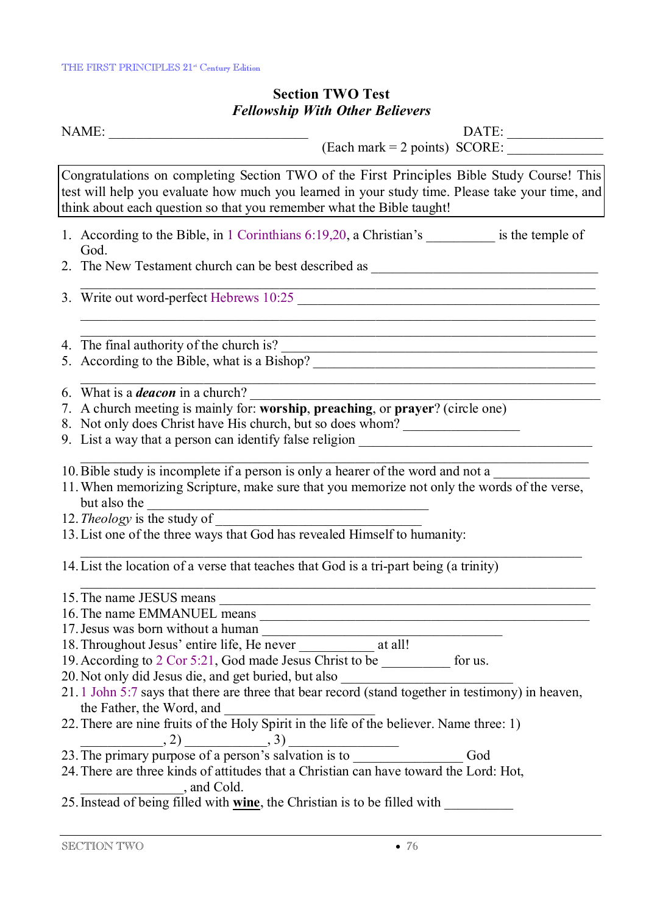## **Section TWO Test**  *Fellowship With Other Believers*

NAME: \_\_\_\_\_\_\_\_\_\_\_\_\_\_\_\_\_\_\_\_\_\_\_\_\_\_\_\_\_ DATE: \_\_\_\_\_\_\_\_\_\_\_\_\_\_

 $(Each mark = 2 points) SCORE:$ 

Congratulations on completing Section TWO of the First Principles Bible Study Course! This test will help you evaluate how much you learned in your study time. Please take your time, and think about each question so that you remember what the Bible taught!

1. According to the Bible, in 1 Corinthians 6:19,20, a Christian's \_\_\_\_\_\_\_\_\_\_\_ is the temple of God.

 $\_$  , and the set of the set of the set of the set of the set of the set of the set of the set of the set of the set of the set of the set of the set of the set of the set of the set of the set of the set of the set of th

2. The New Testament church can be best described as

- 3. Write out word-perfect Hebrews 10:25
- 4. The final authority of the church is?
- 5. According to the Bible, what is a Bishop?
- 6. What is a *deacon* in a church?
- 7. A church meeting is mainly for: **worship**, **preaching**, or **prayer**? (circle one)
- 8. Not only does Christ have His church, but so does whom?
- 9. List a way that a person can identify false religion \_\_\_\_\_\_\_\_\_\_\_\_\_\_\_\_\_\_\_\_\_\_\_\_\_
- 10. Bible study is incomplete if a person is only a hearer of the word and not a
- 11.When memorizing Scripture, make sure that you memorize not only the words of the verse, but also the
- 12. *Theology* is the study of
- 13.List one of the three ways that God has revealed Himself to humanity:
- 14.List the location of a verse that teaches that God is a tri-part being (a trinity)
- 15. The name JESUS means 16.The name EMMANUEL means \_\_\_\_\_\_\_\_\_\_\_\_\_\_\_\_\_\_\_\_\_\_\_\_\_\_\_\_\_\_\_\_\_\_\_\_\_\_\_\_\_\_\_\_\_\_\_\_ 17. Jesus was born without a human 18. Throughout Jesus' entire life, He never at all! 19.According to 2 Cor 5:21, God made Jesus Christ to be \_\_\_\_\_\_\_\_\_\_ for us. 20. Not only did Jesus die, and get buried, but also 21. 1 John 5:7 says that there are three that bear record (stand together in testimony) in heaven, the Father, the Word, and \_\_\_\_\_\_\_\_\_\_\_\_\_\_\_\_\_\_\_\_\_\_ 22.There are nine fruits of the Holy Spirit in the life of the believer. Name three: 1)  $, 2)$  , 3) 23.The primary purpose of a person's salvation is to \_\_\_\_\_\_\_\_\_\_\_\_\_\_\_\_ God 24.There are three kinds of attitudes that a Christian can have toward the Lord: Hot, \_\_\_\_\_\_\_\_\_\_\_\_\_\_\_, and Cold.
- 25.Instead of being filled with **wine**, the Christian is to be filled with \_\_\_\_\_\_\_\_\_\_